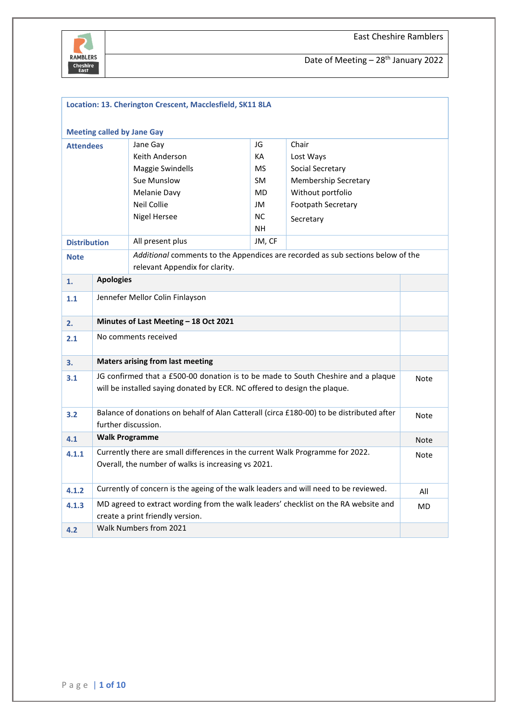

|                     | Location: 13. Cherington Crescent, Macclesfield, SK11 8LA                                                                                                              |                                       |           |                                                                                 |  |  |
|---------------------|------------------------------------------------------------------------------------------------------------------------------------------------------------------------|---------------------------------------|-----------|---------------------------------------------------------------------------------|--|--|
|                     | <b>Meeting called by Jane Gay</b>                                                                                                                                      |                                       |           |                                                                                 |  |  |
| <b>Attendees</b>    |                                                                                                                                                                        | Jane Gay                              | JG        | Chair                                                                           |  |  |
|                     |                                                                                                                                                                        | Keith Anderson                        | KA        | Lost Ways                                                                       |  |  |
|                     |                                                                                                                                                                        | Maggie Swindells                      | <b>MS</b> | Social Secretary                                                                |  |  |
|                     |                                                                                                                                                                        | Sue Munslow                           | <b>SM</b> | <b>Membership Secretary</b>                                                     |  |  |
|                     |                                                                                                                                                                        | Melanie Davy                          | <b>MD</b> | Without portfolio                                                               |  |  |
|                     |                                                                                                                                                                        | Neil Collie                           | JM        | Footpath Secretary                                                              |  |  |
|                     |                                                                                                                                                                        | <b>Nigel Hersee</b>                   | <b>NC</b> | Secretary                                                                       |  |  |
|                     |                                                                                                                                                                        |                                       | <b>NH</b> |                                                                                 |  |  |
| <b>Distribution</b> |                                                                                                                                                                        | All present plus                      | JM, CF    |                                                                                 |  |  |
| <b>Note</b>         |                                                                                                                                                                        | relevant Appendix for clarity.        |           | Additional comments to the Appendices are recorded as sub sections below of the |  |  |
| 1.                  | <b>Apologies</b>                                                                                                                                                       |                                       |           |                                                                                 |  |  |
| 1.1                 | Jennefer Mellor Colin Finlayson                                                                                                                                        |                                       |           |                                                                                 |  |  |
| 2.                  |                                                                                                                                                                        | Minutes of Last Meeting - 18 Oct 2021 |           |                                                                                 |  |  |
| 2.1                 | No comments received                                                                                                                                                   |                                       |           |                                                                                 |  |  |
| 3.                  | <b>Maters arising from last meeting</b>                                                                                                                                |                                       |           |                                                                                 |  |  |
| 3.1                 | JG confirmed that a £500-00 donation is to be made to South Cheshire and a plaque<br>Note<br>will be installed saying donated by ECR. NC offered to design the plaque. |                                       |           |                                                                                 |  |  |
| 3.2                 | Balance of donations on behalf of Alan Catterall (circa £180-00) to be distributed after<br>Note<br>further discussion.                                                |                                       |           |                                                                                 |  |  |
| 4.1                 | <b>Walk Programme</b><br><b>Note</b>                                                                                                                                   |                                       |           |                                                                                 |  |  |
| 4.1.1               | Currently there are small differences in the current Walk Programme for 2022.<br>Note<br>Overall, the number of walks is increasing vs 2021.                           |                                       |           |                                                                                 |  |  |
| 4.1.2               | Currently of concern is the ageing of the walk leaders and will need to be reviewed.<br>All                                                                            |                                       |           |                                                                                 |  |  |
| 4.1.3               | MD agreed to extract wording from the walk leaders' checklist on the RA website and<br>MD<br>create a print friendly version.                                          |                                       |           |                                                                                 |  |  |
| 4.2                 | Walk Numbers from 2021                                                                                                                                                 |                                       |           |                                                                                 |  |  |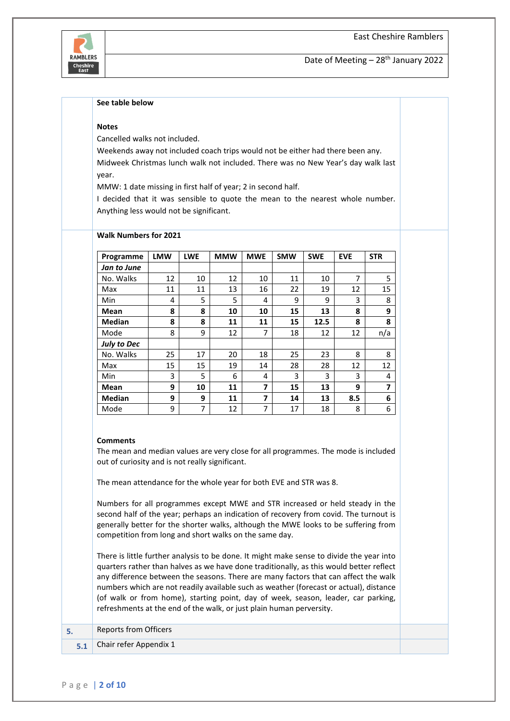#### **See table below**

#### **Notes**

Cancelled walks not included.

**Walk Numbers for 2021**

Weekends away not included coach trips would not be either had there been any. Midweek Christmas lunch walk not included. There was no New Year's day walk last year.

MMW: 1 date missing in first half of year; 2 in second half.

I decided that it was sensible to quote the mean to the nearest whole number. Anything less would not be significant.

| Programme          | <b>LMW</b> | <b>LWE</b> | <b>MMW</b> | <b>MWE</b> | <b>SMW</b> | <b>SWE</b> | <b>EVE</b> | <b>STR</b>              |
|--------------------|------------|------------|------------|------------|------------|------------|------------|-------------------------|
| Jan to June        |            |            |            |            |            |            |            |                         |
| No. Walks          | 12         | 10         | 12         | 10         | 11         | 10         | 7          | 5                       |
| Max                | 11         | 11         | 13         | 16         | 22         | 19         | 12         | 15                      |
| Min                | 4          | 5          | 5          | 4          | 9          | 9          | 3          | 8                       |
| Mean               | 8          | 8          | 10         | 10         | 15         | 13         | 8          | 9                       |
| <b>Median</b>      | 8          | 8          | 11         | 11         | 15         | 12.5       | 8          | 8                       |
| Mode               | 8          | 9          | 12         | 7          | 18         | 12         | 12         | n/a                     |
| <b>July to Dec</b> |            |            |            |            |            |            |            |                         |
| No. Walks          | 25         | 17         | 20         | 18         | 25         | 23         | 8          | 8                       |
| Max                | 15         | 15         | 19         | 14         | 28         | 28         | 12         | 12                      |
| Min                | 3          | 5          | 6          | 4          | 3          | 3          | 3          | 4                       |
| Mean               | 9          | 10         | 11         | 7          | 15         | 13         | 9          | $\overline{\mathbf{z}}$ |
| <b>Median</b>      | 9          | 9          | 11         | 7          | 14         | 13         | 8.5        | 6                       |
| Mode               | 9          | 7          | 12         | 7          | 17         | 18         | 8          | 6                       |

#### **Comments**

The mean and median values are very close for all programmes. The mode is included out of curiosity and is not really significant.

The mean attendance for the whole year for both EVE and STR was 8.

Numbers for all programmes except MWE and STR increased or held steady in the second half of the year; perhaps an indication of recovery from covid. The turnout is generally better for the shorter walks, although the MWE looks to be suffering from competition from long and short walks on the same day.

There is little further analysis to be done. It might make sense to divide the year into quarters rather than halves as we have done traditionally, as this would better reflect any difference between the seasons. There are many factors that can affect the walk numbers which are not readily available such as weather (forecast or actual), distance (of walk or from home), starting point, day of week, season, leader, car parking, refreshments at the end of the walk, or just plain human perversity.

| <b>Reports from Officers</b> |  |
|------------------------------|--|
| Chair refer Appendix 1       |  |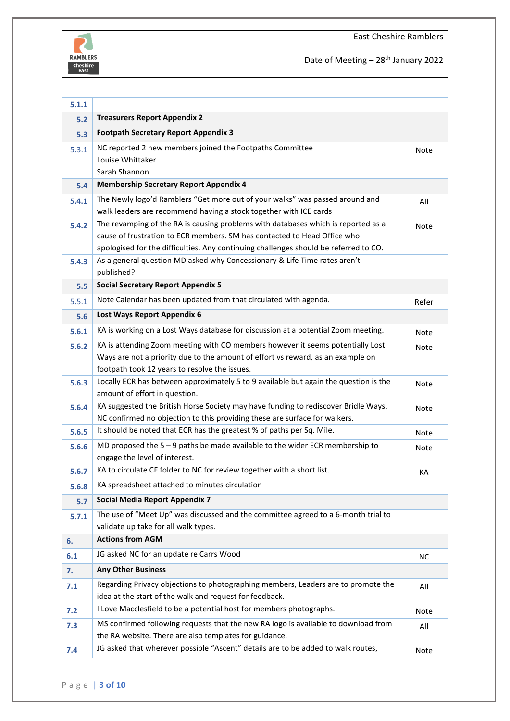

| 5.1.1 |                                                                                                                                                               |             |
|-------|---------------------------------------------------------------------------------------------------------------------------------------------------------------|-------------|
| 5.2   | <b>Treasurers Report Appendix 2</b>                                                                                                                           |             |
| 5.3   | <b>Footpath Secretary Report Appendix 3</b>                                                                                                                   |             |
| 5.3.1 | NC reported 2 new members joined the Footpaths Committee                                                                                                      | Note        |
|       | Louise Whittaker                                                                                                                                              |             |
|       | Sarah Shannon                                                                                                                                                 |             |
| 5.4   | <b>Membership Secretary Report Appendix 4</b>                                                                                                                 |             |
| 5.4.1 | The Newly logo'd Ramblers "Get more out of your walks" was passed around and                                                                                  | All         |
|       | walk leaders are recommend having a stock together with ICE cards                                                                                             |             |
| 5.4.2 | The revamping of the RA is causing problems with databases which is reported as a<br>cause of frustration to ECR members. SM has contacted to Head Office who | Note        |
|       | apologised for the difficulties. Any continuing challenges should be referred to CO.                                                                          |             |
| 5.4.3 | As a general question MD asked why Concessionary & Life Time rates aren't                                                                                     |             |
|       | published?                                                                                                                                                    |             |
| 5.5   | <b>Social Secretary Report Appendix 5</b>                                                                                                                     |             |
| 5.5.1 | Note Calendar has been updated from that circulated with agenda.                                                                                              | Refer       |
| 5.6   | Lost Ways Report Appendix 6                                                                                                                                   |             |
| 5.6.1 | KA is working on a Lost Ways database for discussion at a potential Zoom meeting.                                                                             |             |
|       | KA is attending Zoom meeting with CO members however it seems potentially Lost                                                                                | Note        |
| 5.6.2 | Ways are not a priority due to the amount of effort vs reward, as an example on                                                                               | <b>Note</b> |
|       | footpath took 12 years to resolve the issues.                                                                                                                 |             |
| 5.6.3 | Locally ECR has between approximately 5 to 9 available but again the question is the                                                                          | Note        |
|       | amount of effort in question.                                                                                                                                 |             |
| 5.6.4 | KA suggested the British Horse Society may have funding to rediscover Bridle Ways.                                                                            | Note        |
|       | NC confirmed no objection to this providing these are surface for walkers.                                                                                    |             |
| 5.6.5 | It should be noted that ECR has the greatest % of paths per Sq. Mile.                                                                                         | Note        |
| 5.6.6 | MD proposed the $5 - 9$ paths be made available to the wider ECR membership to                                                                                | Note        |
|       | engage the level of interest.                                                                                                                                 |             |
| 5.6.7 | KA to circulate CF folder to NC for review together with a short list.                                                                                        | KA          |
| 5.6.8 | KA spreadsheet attached to minutes circulation                                                                                                                |             |
| 5.7   | <b>Social Media Report Appendix 7</b>                                                                                                                         |             |
| 5.7.1 | The use of "Meet Up" was discussed and the committee agreed to a 6-month trial to                                                                             |             |
|       | validate up take for all walk types.                                                                                                                          |             |
| 6.    | <b>Actions from AGM</b>                                                                                                                                       |             |
| 6.1   | JG asked NC for an update re Carrs Wood                                                                                                                       | NС          |
| 7.    | <b>Any Other Business</b>                                                                                                                                     |             |
| 7.1   | Regarding Privacy objections to photographing members, Leaders are to promote the                                                                             | All         |
|       | idea at the start of the walk and request for feedback.                                                                                                       |             |
| 7.2   | I Love Macclesfield to be a potential host for members photographs.                                                                                           | Note        |
| 7.3   | MS confirmed following requests that the new RA logo is available to download from                                                                            | All         |
|       | the RA website. There are also templates for guidance.                                                                                                        |             |
| 7.4   | JG asked that wherever possible "Ascent" details are to be added to walk routes,                                                                              | Note        |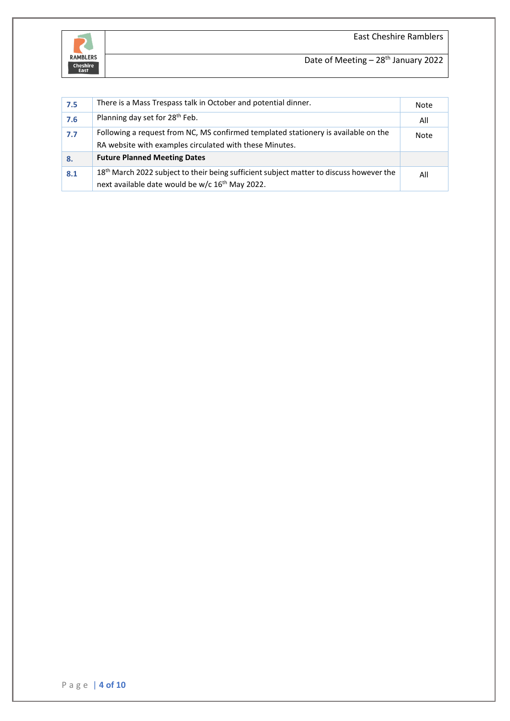



| 7.5 | There is a Mass Trespass talk in October and potential dinner.                                                                                                     | Note |
|-----|--------------------------------------------------------------------------------------------------------------------------------------------------------------------|------|
| 7.6 | Planning day set for 28 <sup>th</sup> Feb.                                                                                                                         | All  |
| 7.7 | Following a request from NC, MS confirmed templated stationery is available on the<br>RA website with examples circulated with these Minutes.                      | Note |
| 8.  | <b>Future Planned Meeting Dates</b>                                                                                                                                |      |
| 8.1 | 18 <sup>th</sup> March 2022 subject to their being sufficient subject matter to discuss however the<br>next available date would be w/c 16 <sup>th</sup> May 2022. | All  |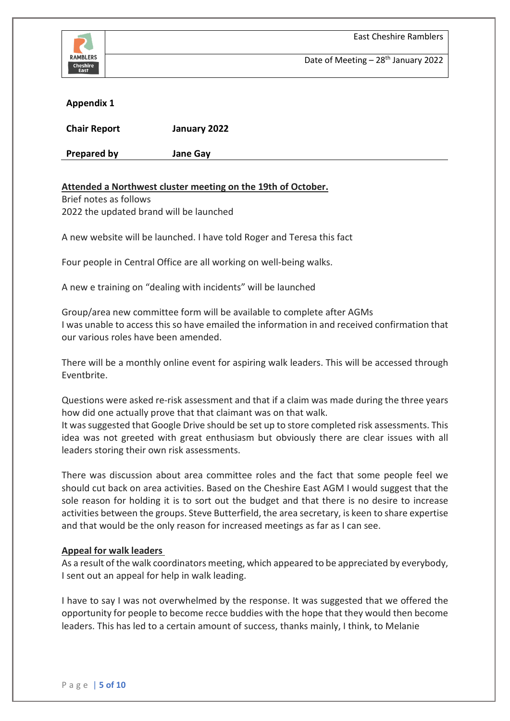

East Cheshire Ramblers

Date of Meeting  $-28$ <sup>th</sup> January 2022

## **Appendix 1**

| <b>Chair Report</b> | January 2022    |
|---------------------|-----------------|
| <b>Prepared by</b>  | <b>Jane Gay</b> |

## **Attended a Northwest cluster meeting on the 19th of October.**

Brief notes as follows 2022 the updated brand will be launched

A new website will be launched. I have told Roger and Teresa this fact

Four people in Central Office are all working on well-being walks.

A new e training on "dealing with incidents" will be launched

Group/area new committee form will be available to complete after AGMs I was unable to access this so have emailed the information in and received confirmation that our various roles have been amended.

There will be a monthly online event for aspiring walk leaders. This will be accessed through Eventbrite.

Questions were asked re-risk assessment and that if a claim was made during the three years how did one actually prove that that claimant was on that walk.

It was suggested that Google Drive should be set up to store completed risk assessments. This idea was not greeted with great enthusiasm but obviously there are clear issues with all leaders storing their own risk assessments.

There was discussion about area committee roles and the fact that some people feel we should cut back on area activities. Based on the Cheshire East AGM I would suggest that the sole reason for holding it is to sort out the budget and that there is no desire to increase activities between the groups. Steve Butterfield, the area secretary, is keen to share expertise and that would be the only reason for increased meetings as far as I can see.

## **Appeal for walk leaders**

As a result of the walk coordinators meeting, which appeared to be appreciated by everybody, I sent out an appeal for help in walk leading.

I have to say I was not overwhelmed by the response. It was suggested that we offered the opportunity for people to become recce buddies with the hope that they would then become leaders. This has led to a certain amount of success, thanks mainly, I think, to Melanie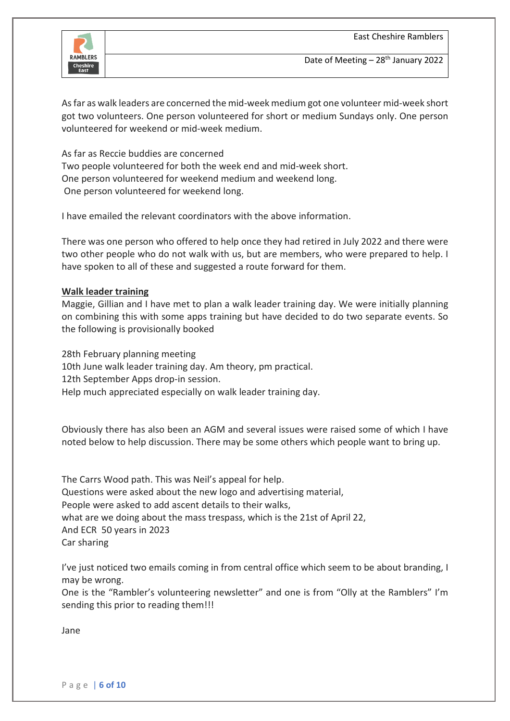

As far as walk leaders are concerned the mid-week medium got one volunteer mid-week short got two volunteers. One person volunteered for short or medium Sundays only. One person volunteered for weekend or mid-week medium.

As far as Reccie buddies are concerned Two people volunteered for both the week end and mid-week short. One person volunteered for weekend medium and weekend long. One person volunteered for weekend long.

I have emailed the relevant coordinators with the above information.

There was one person who offered to help once they had retired in July 2022 and there were two other people who do not walk with us, but are members, who were prepared to help. I have spoken to all of these and suggested a route forward for them.

#### **Walk leader training**

Maggie, Gillian and I have met to plan a walk leader training day. We were initially planning on combining this with some apps training but have decided to do two separate events. So the following is provisionally booked

28th February planning meeting 10th June walk leader training day. Am theory, pm practical. 12th September Apps drop-in session. Help much appreciated especially on walk leader training day.

Obviously there has also been an AGM and several issues were raised some of which I have noted below to help discussion. There may be some others which people want to bring up.

The Carrs Wood path. This was Neil's appeal for help. Questions were asked about the new logo and advertising material, People were asked to add ascent details to their walks, what are we doing about the mass trespass, which is the 21st of April 22, And ECR 50 years in 2023 Car sharing

I've just noticed two emails coming in from central office which seem to be about branding, I may be wrong.

One is the "Rambler's volunteering newsletter" and one is from "Olly at the Ramblers" I'm sending this prior to reading them!!!

Jane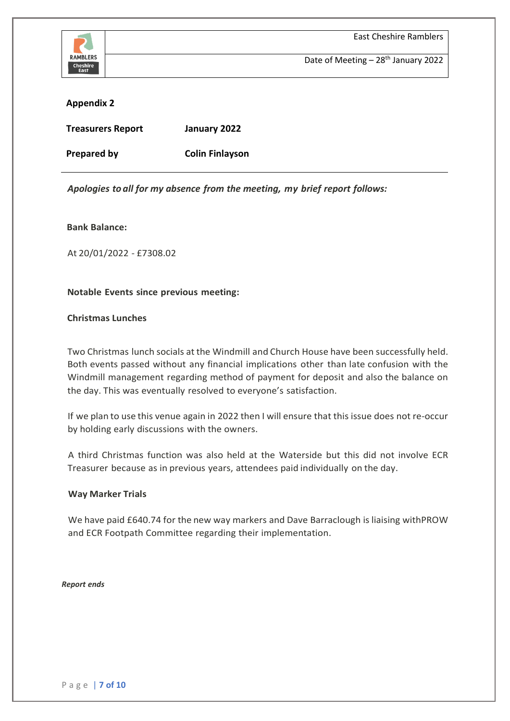

### **Appendix 2**

| <b>Treasurers Report</b> | January 2022           |
|--------------------------|------------------------|
| Prepared by              | <b>Colin Finlayson</b> |

*Apologies to all for my absence from the meeting, my brief report follows:*

#### **Bank Balance:**

At 20/01/2022 - £7308.02

### **Notable Events since previous meeting:**

### **Christmas Lunches**

Two Christmas lunch socials at the Windmill and Church House have been successfully held. Both events passed without any financial implications other than late confusion with the Windmill management regarding method of payment for deposit and also the balance on the day. This was eventually resolved to everyone's satisfaction.

If we plan to use this venue again in 2022 then I will ensure that this issue does not re-occur by holding early discussions with the owners.

A third Christmas function was also held at the Waterside but this did not involve ECR Treasurer because as in previous years, attendees paid individually on the day.

#### **Way Marker Trials**

We have paid £640.74 for the new way markers and Dave Barraclough is liaising withPROW and ECR Footpath Committee regarding their implementation.

*Report ends*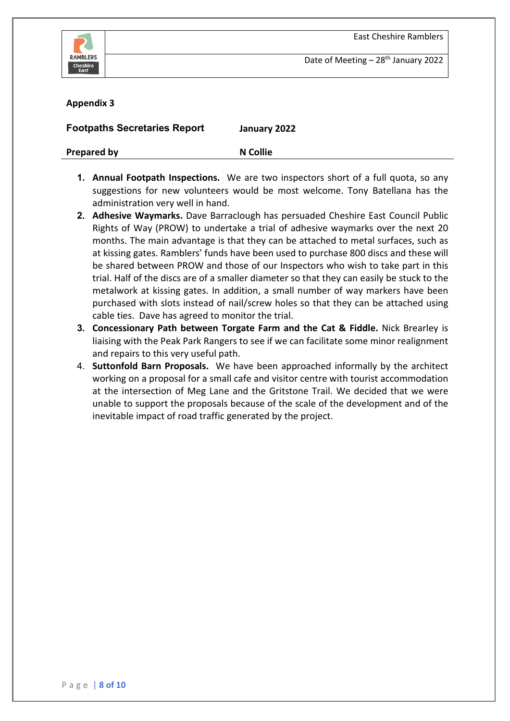



#### **Appendix 3**

**Footpaths Secretaries Report January 2022**

**Prepared by N N** Collie

- **1. Annual Footpath Inspections.** We are two inspectors short of a full quota, so any suggestions for new volunteers would be most welcome. Tony Batellana has the administration very well in hand.
- **2. Adhesive Waymarks.** Dave Barraclough has persuaded Cheshire East Council Public Rights of Way (PROW) to undertake a trial of adhesive waymarks over the next 20 months. The main advantage is that they can be attached to metal surfaces, such as at kissing gates. Ramblers' funds have been used to purchase 800 discs and these will be shared between PROW and those of our Inspectors who wish to take part in this trial. Half of the discs are of a smaller diameter so that they can easily be stuck to the metalwork at kissing gates. In addition, a small number of way markers have been purchased with slots instead of nail/screw holes so that they can be attached using cable ties. Dave has agreed to monitor the trial.
- **3. Concessionary Path between Torgate Farm and the Cat & Fiddle.** Nick Brearley is liaising with the Peak Park Rangers to see if we can facilitate some minor realignment and repairs to this very useful path.
- 4. **Suttonfold Barn Proposals.** We have been approached informally by the architect working on a proposal for a small cafe and visitor centre with tourist accommodation at the intersection of Meg Lane and the Gritstone Trail. We decided that we were unable to support the proposals because of the scale of the development and of the inevitable impact of road traffic generated by the project.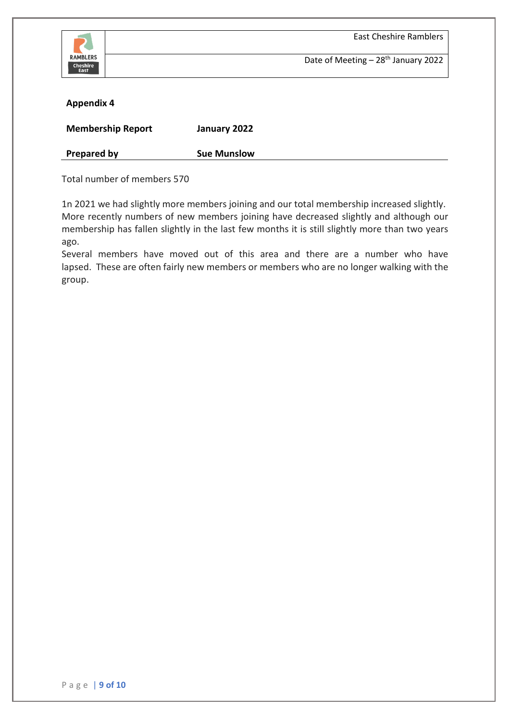

### **Appendix 4**

| <b>Membership Report</b> | January 2022       |
|--------------------------|--------------------|
| <b>Prepared by</b>       | <b>Sue Munslow</b> |

Total number of members 570

1n 2021 we had slightly more members joining and our total membership increased slightly. More recently numbers of new members joining have decreased slightly and although our membership has fallen slightly in the last few months it is still slightly more than two years ago.

Several members have moved out of this area and there are a number who have lapsed. These are often fairly new members or members who are no longer walking with the group.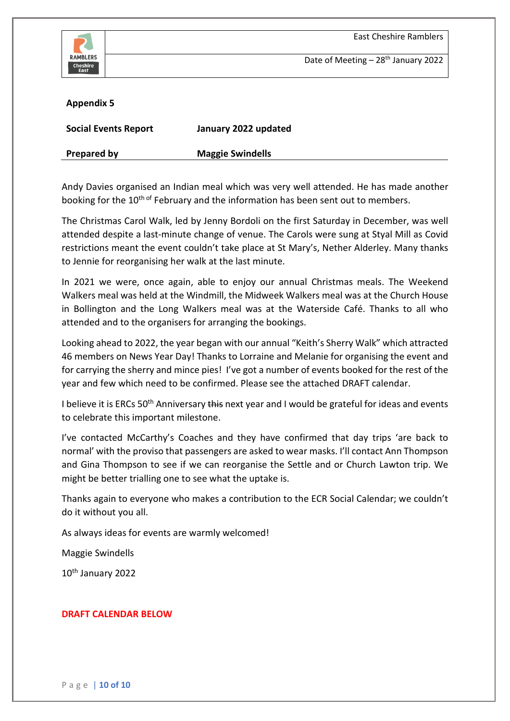

### **Appendix 5**

| <b>Social Events Report</b> | January 2022 updated    |
|-----------------------------|-------------------------|
| Prepared by                 | <b>Maggie Swindells</b> |

Andy Davies organised an Indian meal which was very well attended. He has made another booking for the 10<sup>th of</sup> February and the information has been sent out to members.

The Christmas Carol Walk, led by Jenny Bordoli on the first Saturday in December, was well attended despite a last-minute change of venue. The Carols were sung at Styal Mill as Covid restrictions meant the event couldn't take place at St Mary's, Nether Alderley. Many thanks to Jennie for reorganising her walk at the last minute.

In 2021 we were, once again, able to enjoy our annual Christmas meals. The Weekend Walkers meal was held at the Windmill, the Midweek Walkers meal was at the Church House in Bollington and the Long Walkers meal was at the Waterside Café. Thanks to all who attended and to the organisers for arranging the bookings.

Looking ahead to 2022, the year began with our annual "Keith's Sherry Walk" which attracted 46 members on News Year Day! Thanks to Lorraine and Melanie for organising the event and for carrying the sherry and mince pies! I've got a number of events booked for the rest of the year and few which need to be confirmed. Please see the attached DRAFT calendar.

I believe it is ERCs 50<sup>th</sup> Anniversary this next year and I would be grateful for ideas and events to celebrate this important milestone.

I've contacted McCarthy's Coaches and they have confirmed that day trips 'are back to normal' with the proviso that passengers are asked to wear masks. I'll contact Ann Thompson and Gina Thompson to see if we can reorganise the Settle and or Church Lawton trip. We might be better trialling one to see what the uptake is.

Thanks again to everyone who makes a contribution to the ECR Social Calendar; we couldn't do it without you all.

As always ideas for events are warmly welcomed!

Maggie Swindells

10th January 2022

## **DRAFT CALENDAR BELOW**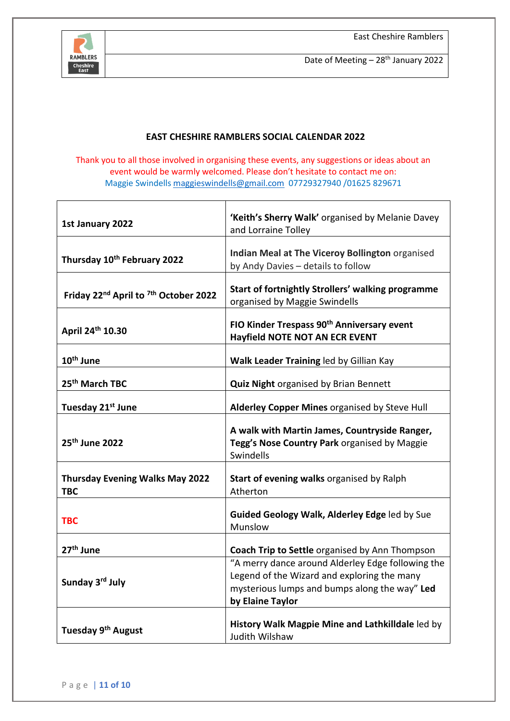

# **EAST CHESHIRE RAMBLERS SOCIAL CALENDAR 2022**

Thank you to all those involved in organising these events, any suggestions or ideas about an event would be warmly welcomed. Please don't hesitate to contact me on: Maggie Swindell[s maggieswindells@gmail.com](mailto:maggieswindells@gmail.com) 07729327940 /01625 829671

| 1st January 2022                                             | 'Keith's Sherry Walk' organised by Melanie Davey                                                                                                                      |
|--------------------------------------------------------------|-----------------------------------------------------------------------------------------------------------------------------------------------------------------------|
|                                                              | and Lorraine Tolley                                                                                                                                                   |
| Thursday 10th February 2022                                  | Indian Meal at The Viceroy Bollington organised<br>by Andy Davies - details to follow                                                                                 |
| Friday 22 <sup>nd</sup> April to <sup>7th</sup> October 2022 | Start of fortnightly Strollers' walking programme<br>organised by Maggie Swindells                                                                                    |
| April 24th 10.30                                             | FIO Kinder Trespass 90 <sup>th</sup> Anniversary event<br>Hayfield NOTE NOT AN ECR EVENT                                                                              |
| 10 <sup>th</sup> June                                        | Walk Leader Training led by Gillian Kay                                                                                                                               |
| 25 <sup>th</sup> March TBC                                   | <b>Quiz Night organised by Brian Bennett</b>                                                                                                                          |
| Tuesday 21st June                                            | Alderley Copper Mines organised by Steve Hull                                                                                                                         |
| 25 <sup>th</sup> June 2022                                   | A walk with Martin James, Countryside Ranger,<br>Tegg's Nose Country Park organised by Maggie<br>Swindells                                                            |
| <b>Thursday Evening Walks May 2022</b><br><b>TBC</b>         | Start of evening walks organised by Ralph<br>Atherton                                                                                                                 |
| <b>TBC</b>                                                   | Guided Geology Walk, Alderley Edge led by Sue<br>Munslow                                                                                                              |
| 27 <sup>th</sup> June                                        | Coach Trip to Settle organised by Ann Thompson                                                                                                                        |
| Sunday 3rd July                                              | "A merry dance around Alderley Edge following the<br>Legend of the Wizard and exploring the many<br>mysterious lumps and bumps along the way" Led<br>by Elaine Taylor |
| Tuesday 9 <sup>th</sup> August                               | History Walk Magpie Mine and Lathkilldale led by<br>Judith Wilshaw                                                                                                    |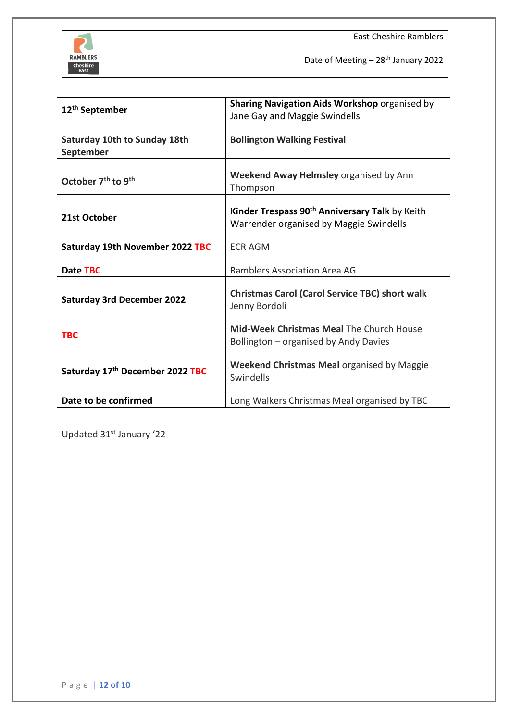

|                                            | Sharing Navigation Aids Workshop organised by                                                         |  |  |
|--------------------------------------------|-------------------------------------------------------------------------------------------------------|--|--|
| 12 <sup>th</sup> September                 | Jane Gay and Maggie Swindells                                                                         |  |  |
| Saturday 10th to Sunday 18th<br>September  | <b>Bollington Walking Festival</b>                                                                    |  |  |
| October 7 <sup>th</sup> to 9 <sup>th</sup> | Weekend Away Helmsley organised by Ann<br>Thompson                                                    |  |  |
| 21st October                               | Kinder Trespass 90 <sup>th</sup> Anniversary Talk by Keith<br>Warrender organised by Maggie Swindells |  |  |
| Saturday 19th November 2022 TBC            | <b>ECR AGM</b>                                                                                        |  |  |
| Date TBC                                   | Ramblers Association Area AG                                                                          |  |  |
| <b>Saturday 3rd December 2022</b>          | <b>Christmas Carol (Carol Service TBC) short walk</b><br>Jenny Bordoli                                |  |  |
| <b>TBC</b>                                 | Mid-Week Christmas Meal The Church House<br>Bollington - organised by Andy Davies                     |  |  |
| Saturday 17th December 2022 TBC            | <b>Weekend Christmas Meal organised by Maggie</b><br>Swindells                                        |  |  |
| Date to be confirmed                       | Long Walkers Christmas Meal organised by TBC                                                          |  |  |

Updated 31<sup>st</sup> January '22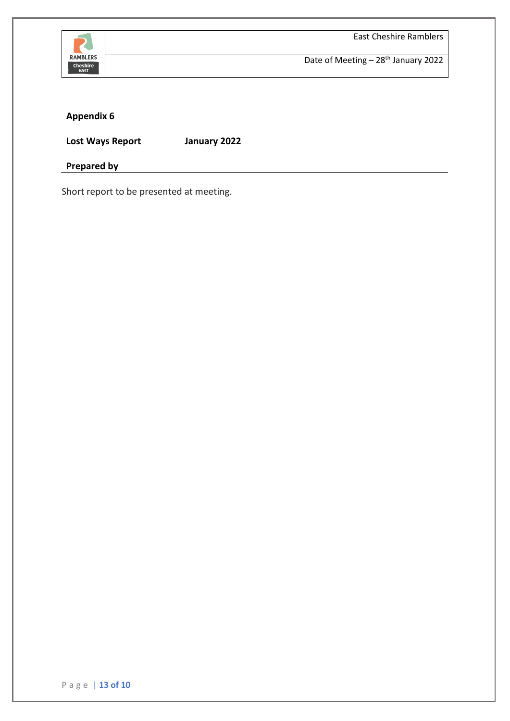

East Cheshire Ramblers

Date of Meeting - 28<sup>th</sup> January 2022

# **Appendix 6**

**Lost Ways Report January 2022**

**Prepared by**

Short report to be presented at meeting.